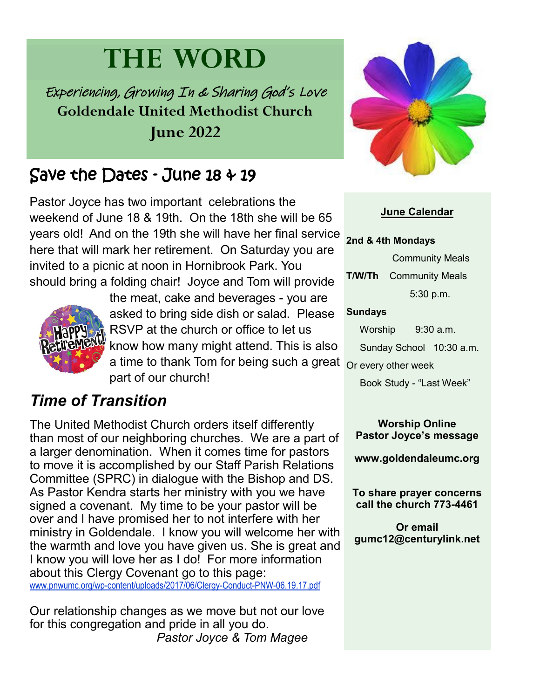# **THE WORD**

Experiencing, Growing In & Sharing God's Love **Goldendale United Methodist Church June 2022**

# Save the Dates - June 18 & 19

Pastor Joyce has two important celebrations the weekend of June 18 & 19th. On the 18th she will be 65 years old! And on the 19th she will have her final service here that will mark her retirement. On Saturday you are invited to a picnic at noon in Hornibrook Park. You should bring a folding chair! Joyce and Tom will provide



a time to thank Tom for being such a great <sub>Or every other week</sub> the meat, cake and beverages - you are asked to bring side dish or salad. Please RSVP at the church or office to let us know how many might attend. This is also part of our church!

### *Time of Transition*

The United Methodist Church orders itself differently than most of our neighboring churches. We are a part of a larger denomination. When it comes time for pastors to move it is accomplished by our Staff Parish Relations Committee (SPRC) in dialogue with the Bishop and DS. As Pastor Kendra starts her ministry with you we have signed a covenant. My time to be your pastor will be over and I have promised her to not interfere with her ministry in Goldendale. I know you will welcome her with the warmth and love you have given us. She is great and I know you will love her as I do! For more information about this Clergy Covenant go to this page: [www.pnwumc.org/wp-content/uploads/2017/06/Clergy-Conduct-PNW-06.19.17.pdf](https://www.pnwumc.org/wp-content/uploads/2017/06/Clergy-Conduct-PNW-06.19.17.pdf)

Our relationship changes as we move but not our love for this congregation and pride in all you do. *Pastor Joyce & Tom Magee*



#### **June Calendar**

#### **2nd & 4th Mondays**

 Community Meals **T/W/Th** Community Meals 5:30 p.m.

#### **Sundays**

Worship 9:30 a.m.

Sunday School 10:30 a.m.

Book Study - "Last Week"

**Worship Online Pastor Joyce's message**

**www.goldendaleumc.org**

**To share prayer concerns call the church 773-4461**

**Or email gumc12@centurylink.net**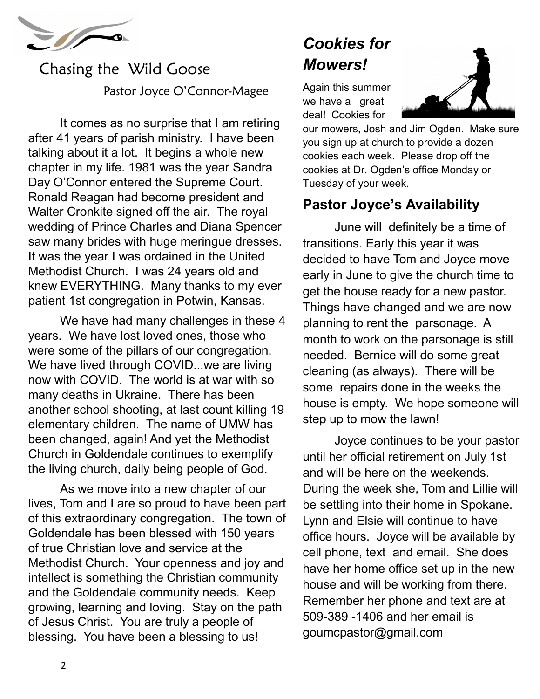

## Chasing the Wild Goose Pastor Joyce O'Connor-Magee

It comes as no surprise that I am retiring after 41 years of parish ministry. I have been talking about it a lot. It begins a whole new chapter in my life. 1981 was the year Sandra Day O'Connor entered the Supreme Court. Ronald Reagan had become president and Walter Cronkite signed off the air. The royal wedding of Prince Charles and Diana Spencer saw many brides with huge meringue dresses. It was the year I was ordained in the United Methodist Church. I was 24 years old and knew EVERYTHING. Many thanks to my ever patient 1st congregation in Potwin, Kansas.

We have had many challenges in these 4 years. We have lost loved ones, those who were some of the pillars of our congregation. We have lived through COVID...we are living now with COVID. The world is at war with so many deaths in Ukraine. There has been another school shooting, at last count killing 19 elementary children. The name of UMW has been changed, again! And yet the Methodist Church in Goldendale continues to exemplify the living church, daily being people of God.

As we move into a new chapter of our lives, Tom and I are so proud to have been part of this extraordinary congregation. The town of Goldendale has been blessed with 150 years of true Christian love and service at the Methodist Church. Your openness and joy and intellect is something the Christian community and the Goldendale community needs. Keep growing, learning and loving. Stay on the path of Jesus Christ. You are truly a people of blessing. You have been a blessing to us!

# *Cookies for Mowers!*

Again this summer we have a great deal! Cookies for



our mowers, Josh and Jim Ogden. Make sure you sign up at church to provide a dozen cookies each week. Please drop off the cookies at Dr. Ogden's office Monday or Tuesday of your week.

### **Pastor Joyce's Availability**

June will definitely be a time of transitions. Early this year it was decided to have Tom and Joyce move early in June to give the church time to get the house ready for a new pastor. Things have changed and we are now planning to rent the parsonage. A month to work on the parsonage is still needed. Bernice will do some great cleaning (as always). There will be some repairs done in the weeks the house is empty. We hope someone will step up to mow the lawn!

Joyce continues to be your pastor until her official retirement on July 1st and will be here on the weekends. During the week she, Tom and Lillie will be settling into their home in Spokane. Lynn and Elsie will continue to have office hours. Joyce will be available by cell phone, text and email. She does have her home office set up in the new house and will be working from there. Remember her phone and text are at 509-389 -1406 and her email is goumcpastor@gmail.com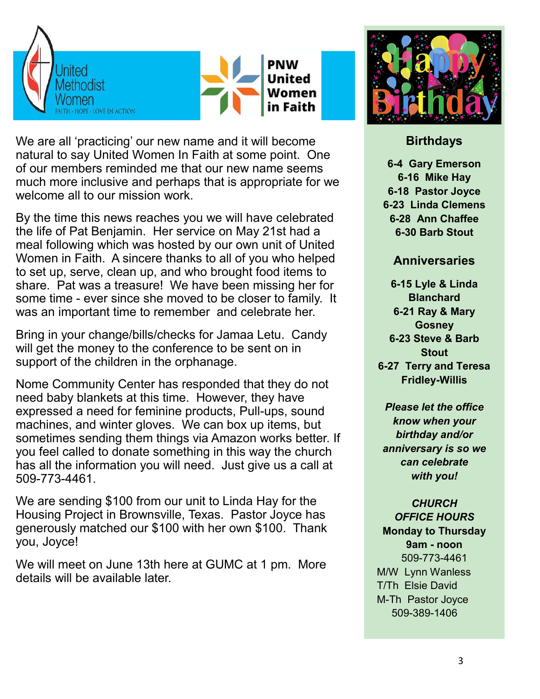



We are all 'practicing' our new name and it will become natural to say United Women In Faith at some point. One of our members reminded me that our new name seems much more inclusive and perhaps that is appropriate for we welcome all to our mission work.

By the time this news reaches you we will have celebrated the life of Pat Benjamin. Her service on May 21st had a meal following which was hosted by our own unit of United Women in Faith. A sincere thanks to all of you who helped to set up, serve, clean up, and who brought food items to share. Pat was a treasure! We have been missing her for some time - ever since she moved to be closer to family. It was an important time to remember and celebrate her.

Bring in your change/bills/checks for Jamaa Letu. Candy will get the money to the conference to be sent on in support of the children in the orphanage.

Nome Community Center has responded that they do not need baby blankets at this time. However, they have expressed a need for feminine products, Pull-ups, sound machines, and winter gloves. We can box up items, but sometimes sending them things via Amazon works better. If you feel called to donate something in this way the church has all the information you will need. Just give us a call at 509-773-4461.

We are sending \$100 from our unit to Linda Hay for the Housing Project in Brownsville, Texas. Pastor Joyce has generously matched our \$100 with her own \$100. Thank you, Joyce!

We will meet on June 13th here at GUMC at 1 pm. More details will be available later.



#### **Birthdays**

**-4 Gary Emerson -16 Mike Hay -18 Pastor Joyce -23 Linda Clemens -28 Ann Chaffee -30 Barb Stout**

#### **Anniversaries**

**6-15 Lyle & Linda Blanchard 6-21 Ray & Mary Gosney 6-23 Steve & Barb Stout**

**6-27 Terry and Teresa Fridley-Willis**

*Please let the office know when your birthday and/or anniversary is so we can celebrate with you!* 

*CHURCH OFFICE HOURS* **Monday to Thursday 9am - noon** 509-773-4461 M/W Lynn Wanless T/Th Elsie David M-Th Pastor Joyce 509-389-1406